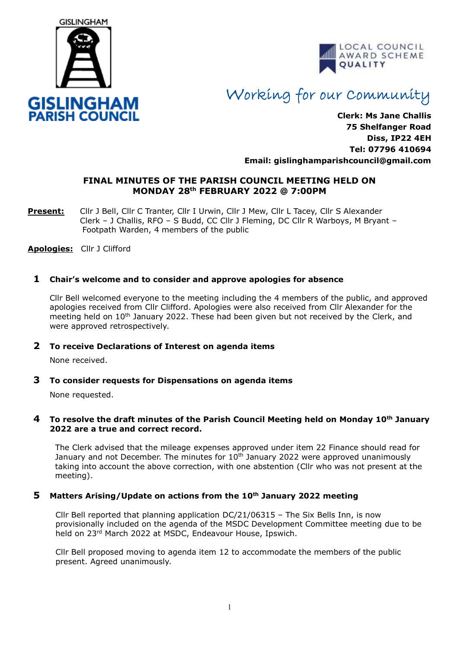



# Working for our Community

**Clerk: Ms Jane Challis 75 Shelfanger Road Diss, IP22 4EH Tel: 07796 410694 Email: [gislinghamparishcouncil@gmail.com](mailto:gislinghamparishcouncil@gmail.com)**

## **FINAL MINUTES OF THE PARISH COUNCIL MEETING HELD ON MONDAY 28th FEBRUARY 2022 @ 7:00PM**

**Present:** Cllr J Bell, Cllr C Tranter, Cllr I Urwin, Cllr J Mew, Cllr L Tacey, Cllr S Alexander Clerk – J Challis, RFO – S Budd, CC Cllr J Fleming, DC Cllr R Warboys, M Bryant – Footpath Warden, 4 members of the public

**Apologies:** Cllr J Clifford

## **1 Chair's welcome and to consider and approve apologies for absence**

Cllr Bell welcomed everyone to the meeting including the 4 members of the public, and approved apologies received from Cllr Clifford. Apologies were also received from Cllr Alexander for the meeting held on 10<sup>th</sup> January 2022. These had been given but not received by the Clerk, and were approved retrospectively.

## **2 To receive Declarations of Interest on agenda items**

None received.

## **3 To consider requests for Dispensations on agenda items**

None requested.

#### **4 To resolve the draft minutes of the Parish Council Meeting held on Monday 10th January 2022 are a true and correct record.**

 The Clerk advised that the mileage expenses approved under item 22 Finance should read for January and not December. The minutes for  $10<sup>th</sup>$  January 2022 were approved unanimously taking into account the above correction, with one abstention (Cllr who was not present at the meeting).

## **5 Matters Arising/Update on actions from the 10th January 2022 meeting**

Cllr Bell reported that planning application DC/21/06315 – The Six Bells Inn, is now provisionally included on the agenda of the MSDC Development Committee meeting due to be held on 23<sup>rd</sup> March 2022 at MSDC, Endeavour House, Ipswich.

Cllr Bell proposed moving to agenda item 12 to accommodate the members of the public present. Agreed unanimously.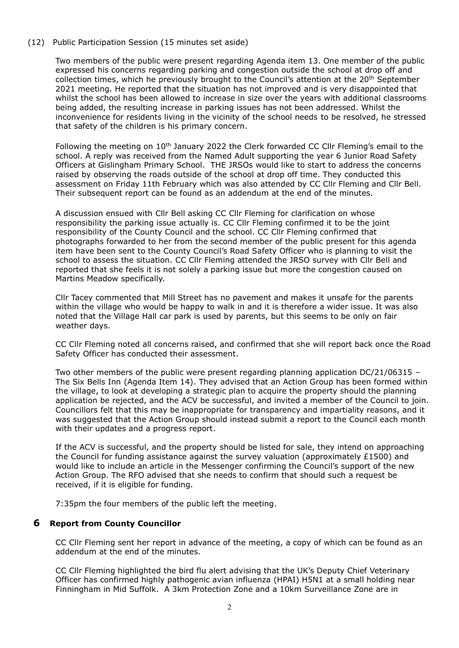## (12) Public Participation Session (15 minutes set aside)

Two members of the public were present regarding Agenda item 13. One member of the public expressed his concerns regarding parking and congestion outside the school at drop off and collection times, which he previously brought to the Council's attention at the 20<sup>th</sup> September 2021 meeting. He reported that the situation has not improved and is very disappointed that whilst the school has been allowed to increase in size over the years with additional classrooms being added, the resulting increase in parking issues has not been addressed. Whilst the inconvenience for residents living in the vicinity of the school needs to be resolved, he stressed that safety of the children is his primary concern.

Following the meeting on 10<sup>th</sup> January 2022 the Clerk forwarded CC Cllr Fleming's email to the school. A reply was received from the Named Adult supporting the year 6 Junior Road Safety Officers at Gislingham Primary School. THE JRSOs would like to start to address the concerns raised by observing the roads outside of the school at drop off time. They conducted this assessment on Friday 11th February which was also attended by CC Cllr Fleming and Cllr Bell. Their subsequent report can be found as an addendum at the end of the minutes.

A discussion ensued with Cllr Bell asking CC Cllr Fleming for clarification on whose responsibility the parking issue actually is. CC Cllr Fleming confirmed it to be the joint responsibility of the County Council and the school. CC Cllr Fleming confirmed that photographs forwarded to her from the second member of the public present for this agenda item have been sent to the County Council's Road Safety Officer who is planning to visit the school to assess the situation. CC Cllr Fleming attended the JRSO survey with Cllr Bell and reported that she feels it is not solely a parking issue but more the congestion caused on Martins Meadow specifically.

Cllr Tacey commented that Mill Street has no pavement and makes it unsafe for the parents within the village who would be happy to walk in and it is therefore a wider issue. It was also noted that the Village Hall car park is used by parents, but this seems to be only on fair weather days.

CC Cllr Fleming noted all concerns raised, and confirmed that she will report back once the Road Safety Officer has conducted their assessment.

Two other members of the public were present regarding planning application DC/21/06315 – The Six Bells Inn (Agenda Item 14). They advised that an Action Group has been formed within the village, to look at developing a strategic plan to acquire the property should the planning application be rejected, and the ACV be successful, and invited a member of the Council to join. Councillors felt that this may be inappropriate for transparency and impartiality reasons, and it was suggested that the Action Group should instead submit a report to the Council each month with their updates and a progress report.

If the ACV is successful, and the property should be listed for sale, they intend on approaching the Council for funding assistance against the survey valuation (approximately £1500) and would like to include an article in the Messenger confirming the Council's support of the new Action Group. The RFO advised that she needs to confirm that should such a request be received, if it is eligible for funding.

7:35pm the four members of the public left the meeting.

## **6 Report from County Councillor**

CC Cllr Fleming sent her report in advance of the meeting, a copy of which can be found as an addendum at the end of the minutes.

CC Cllr Fleming highlighted the bird flu alert advising that the UK's Deputy Chief Veterinary Officer has confirmed highly pathogenic avian influenza (HPAI) H5N1 at a small holding near Finningham in Mid Suffolk. A 3km Protection Zone and a 10km Surveillance Zone are in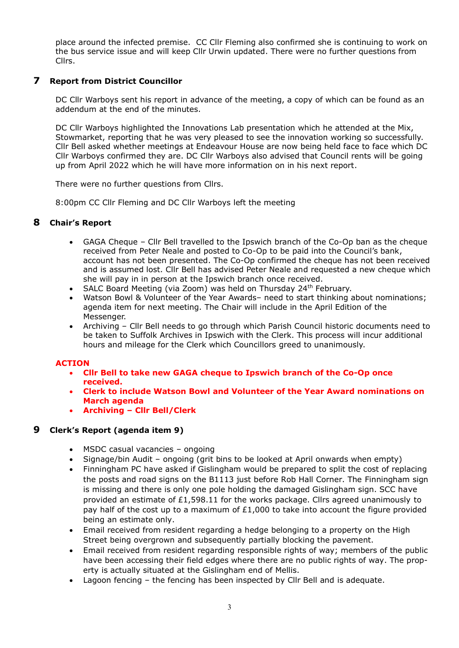place around the infected premise. CC Cllr Fleming also confirmed she is continuing to work on the bus service issue and will keep Cllr Urwin updated. There were no further questions from Cllrs.

## **7 Report from District Councillor**

DC Cllr Warboys sent his report in advance of the meeting, a copy of which can be found as an addendum at the end of the minutes.

DC Cllr Warboys highlighted the Innovations Lab presentation which he attended at the Mix, Stowmarket, reporting that he was very pleased to see the innovation working so successfully. Cllr Bell asked whether meetings at Endeavour House are now being held face to face which DC Cllr Warboys confirmed they are. DC Cllr Warboys also advised that Council rents will be going up from April 2022 which he will have more information on in his next report.

There were no further questions from Cllrs.

8:00pm CC Cllr Fleming and DC Cllr Warboys left the meeting

## **8 Chair's Report**

- GAGA Cheque Cllr Bell travelled to the Ipswich branch of the Co-Op ban as the cheque received from Peter Neale and posted to Co-Op to be paid into the Council's bank, account has not been presented. The Co-Op confirmed the cheque has not been received and is assumed lost. Cllr Bell has advised Peter Neale and requested a new cheque which she will pay in in person at the Ipswich branch once received.
- SALC Board Meeting (via Zoom) was held on Thursday 24<sup>th</sup> February.
- Watson Bowl & Volunteer of the Year Awards– need to start thinking about nominations; agenda item for next meeting. The Chair will include in the April Edition of the Messenger.
- Archiving Cllr Bell needs to go through which Parish Council historic documents need to be taken to Suffolk Archives in Ipswich with the Clerk. This process will incur additional hours and mileage for the Clerk which Councillors greed to unanimously.

## **ACTION**

- **Cllr Bell to take new GAGA cheque to Ipswich branch of the Co-Op once received.**
- **Clerk to include Watson Bowl and Volunteer of the Year Award nominations on March agenda**
- **Archiving – Cllr Bell/Clerk**

## **9 Clerk's Report (agenda item 9)**

- MSDC casual vacancies ongoing
- Signage/bin Audit ongoing (grit bins to be looked at April onwards when empty)
- Finningham PC have asked if Gislingham would be prepared to split the cost of replacing the posts and road signs on the B1113 just before Rob Hall Corner. The Finningham sign is missing and there is only one pole holding the damaged Gislingham sign. SCC have provided an estimate of £1,598.11 for the works package. Cllrs agreed unanimously to pay half of the cost up to a maximum of  $£1,000$  to take into account the figure provided being an estimate only.
- Email received from resident regarding a hedge belonging to a property on the High Street being overgrown and subsequently partially blocking the pavement.
- Email received from resident regarding responsible rights of way; members of the public have been accessing their field edges where there are no public rights of way. The property is actually situated at the Gislingham end of Mellis.
- Lagoon fencing the fencing has been inspected by Cllr Bell and is adequate.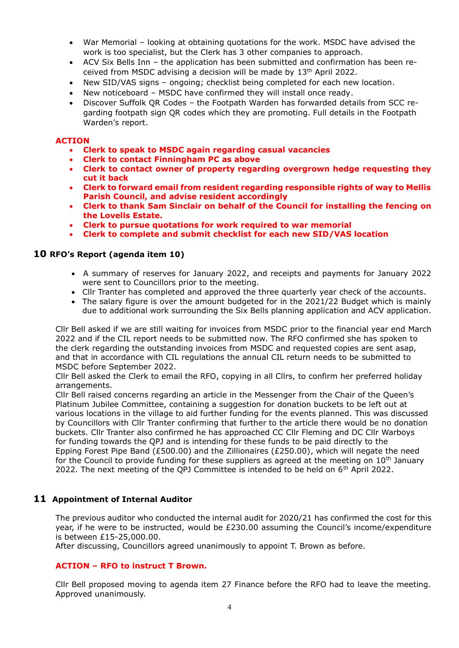- War Memorial looking at obtaining quotations for the work. MSDC have advised the work is too specialist, but the Clerk has 3 other companies to approach.
- ACV Six Bells Inn the application has been submitted and confirmation has been received from MSDC advising a decision will be made by 13<sup>th</sup> April 2022.
- New SID/VAS signs ongoing; checklist being completed for each new location.
- New noticeboard MSDC have confirmed they will install once ready.
- Discover Suffolk QR Codes the Footpath Warden has forwarded details from SCC regarding footpath sign QR codes which they are promoting. Full details in the Footpath Warden's report.

#### **ACTION**

- **Clerk to speak to MSDC again regarding casual vacancies**
- **Clerk to contact Finningham PC as above**
- **Clerk to contact owner of property regarding overgrown hedge requesting they cut it back**
- **Clerk to forward email from resident regarding responsible rights of way to Mellis Parish Council, and advise resident accordingly**
- **Clerk to thank Sam Sinclair on behalf of the Council for installing the fencing on the Lovells Estate.**
- **Clerk to pursue quotations for work required to war memorial**
- **Clerk to complete and submit checklist for each new SID/VAS location**

### **10 RFO's Report (agenda item 10)**

- A summary of reserves for January 2022, and receipts and payments for January 2022 were sent to Councillors prior to the meeting.
- Cllr Tranter has completed and approved the three quarterly year check of the accounts.
- The salary figure is over the amount budgeted for in the 2021/22 Budget which is mainly due to additional work surrounding the Six Bells planning application and ACV application.

Cllr Bell asked if we are still waiting for invoices from MSDC prior to the financial year end March 2022 and if the CIL report needs to be submitted now. The RFO confirmed she has spoken to the clerk regarding the outstanding invoices from MSDC and requested copies are sent asap, and that in accordance with CIL regulations the annual CIL return needs to be submitted to MSDC before September 2022.

Cllr Bell asked the Clerk to email the RFO, copying in all Cllrs, to confirm her preferred holiday arrangements.

Cllr Bell raised concerns regarding an article in the Messenger from the Chair of the Queen's Platinum Jubilee Committee, containing a suggestion for donation buckets to be left out at various locations in the village to aid further funding for the events planned. This was discussed by Councillors with Cllr Tranter confirming that further to the article there would be no donation buckets. Cllr Tranter also confirmed he has approached CC Cllr Fleming and DC Cllr Warboys for funding towards the QPJ and is intending for these funds to be paid directly to the Epping Forest Pipe Band (£500.00) and the Zillionaires (£250.00), which will negate the need for the Council to provide funding for these suppliers as agreed at the meeting on  $10<sup>th</sup>$  January 2022. The next meeting of the QPJ Committee is intended to be held on  $6<sup>th</sup>$  April 2022.

## **11 Appointment of Internal Auditor**

The previous auditor who conducted the internal audit for 2020/21 has confirmed the cost for this year, if he were to be instructed, would be £230.00 assuming the Council's income/expenditure is between £15-25,000.00.

After discussing, Councillors agreed unanimously to appoint T. Brown as before.

#### **ACTION – RFO to instruct T Brown.**

Cllr Bell proposed moving to agenda item 27 Finance before the RFO had to leave the meeting. Approved unanimously.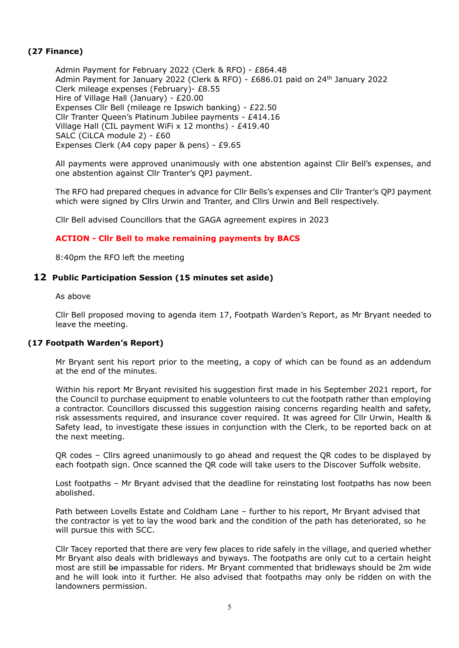## **(27 Finance)**

Admin Payment for February 2022 (Clerk & RFO) - £864.48 Admin Payment for January 2022 (Clerk & RFO) - £686.01 paid on 24th January 2022 Clerk mileage expenses (February)- £8.55 Hire of Village Hall (January) - £20.00 Expenses Cllr Bell (mileage re Ipswich banking) - £22.50 Cllr Tranter Queen's Platinum Jubilee payments - £414.16 Village Hall (CIL payment WiFi x 12 months) - £419.40 SALC (CiLCA module 2) - £60 Expenses Clerk (A4 copy paper & pens) - £9.65

All payments were approved unanimously with one abstention against Cllr Bell's expenses, and one abstention against Cllr Tranter's QPJ payment.

The RFO had prepared cheques in advance for Cllr Bells's expenses and Cllr Tranter's QPJ payment which were signed by Cllrs Urwin and Tranter, and Cllrs Urwin and Bell respectively.

Cllr Bell advised Councillors that the GAGA agreement expires in 2023

### **ACTION - Cllr Bell to make remaining payments by BACS**

8:40pm the RFO left the meeting

#### **12 Public Participation Session (15 minutes set aside)**

As above

Cllr Bell proposed moving to agenda item 17, Footpath Warden's Report, as Mr Bryant needed to leave the meeting.

#### **(17 Footpath Warden's Report)**

Mr Bryant sent his report prior to the meeting, a copy of which can be found as an addendum at the end of the minutes.

Within his report Mr Bryant revisited his suggestion first made in his September 2021 report, for the Council to purchase equipment to enable volunteers to cut the footpath rather than employing a contractor. Councillors discussed this suggestion raising concerns regarding health and safety, risk assessments required, and insurance cover required. It was agreed for Cllr Urwin, Health & Safety lead, to investigate these issues in conjunction with the Clerk, to be reported back on at the next meeting.

QR codes – Cllrs agreed unanimously to go ahead and request the QR codes to be displayed by each footpath sign. Once scanned the QR code will take users to the Discover Suffolk website.

Lost footpaths – Mr Bryant advised that the deadline for reinstating lost footpaths has now been abolished.

Path between Lovells Estate and Coldham Lane – further to his report, Mr Bryant advised that the contractor is yet to lay the wood bark and the condition of the path has deteriorated, so he will pursue this with SCC.

Cllr Tacey reported that there are very few places to ride safely in the village, and queried whether Mr Bryant also deals with bridleways and byways. The footpaths are only cut to a certain height most are still be impassable for riders. Mr Bryant commented that bridleways should be 2m wide and he will look into it further. He also advised that footpaths may only be ridden on with the landowners permission.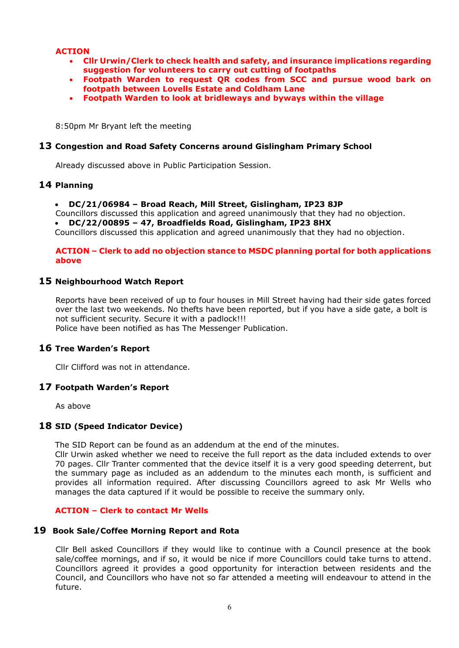## **ACTION**

- **Cllr Urwin/Clerk to check health and safety, and insurance implications regarding suggestion for volunteers to carry out cutting of footpaths**
- **Footpath Warden to request QR codes from SCC and pursue wood bark on footpath between Lovells Estate and Coldham Lane**
- **Footpath Warden to look at bridleways and byways within the village**

8:50pm Mr Bryant left the meeting

#### **13 Congestion and Road Safety Concerns around Gislingham Primary School**

Already discussed above in Public Participation Session.

#### **14 Planning**

- **DC/21/06984 – Broad Reach, Mill Street, Gislingham, IP23 8JP**
- Councillors discussed this application and agreed unanimously that they had no objection.
- **DC/22/00895 – 47, Broadfields Road, Gislingham, IP23 8HX**

Councillors discussed this application and agreed unanimously that they had no objection.

#### **ACTION – Clerk to add no objection stance to MSDC planning portal for both applications above**

#### **15 Neighbourhood Watch Report**

Reports have been received of up to four houses in Mill Street having had their side gates forced over the last two weekends. No thefts have been reported, but if you have a side gate, a bolt is not sufficient security. Secure it with a padlock!!! Police have been notified as has The Messenger Publication.

## **16 Tree Warden's Report**

Cllr Clifford was not in attendance.

#### **17 Footpath Warden's Report**

As above

#### **18 SID (Speed Indicator Device)**

The SID Report can be found as an addendum at the end of the minutes.

Cllr Urwin asked whether we need to receive the full report as the data included extends to over 70 pages. Cllr Tranter commented that the device itself it is a very good speeding deterrent, but the summary page as included as an addendum to the minutes each month, is sufficient and provides all information required. After discussing Councillors agreed to ask Mr Wells who manages the data captured if it would be possible to receive the summary only.

#### **ACTION – Clerk to contact Mr Wells**

#### **19 Book Sale/Coffee Morning Report and Rota**

Cllr Bell asked Councillors if they would like to continue with a Council presence at the book sale/coffee mornings, and if so, it would be nice if more Councillors could take turns to attend. Councillors agreed it provides a good opportunity for interaction between residents and the Council, and Councillors who have not so far attended a meeting will endeavour to attend in the future.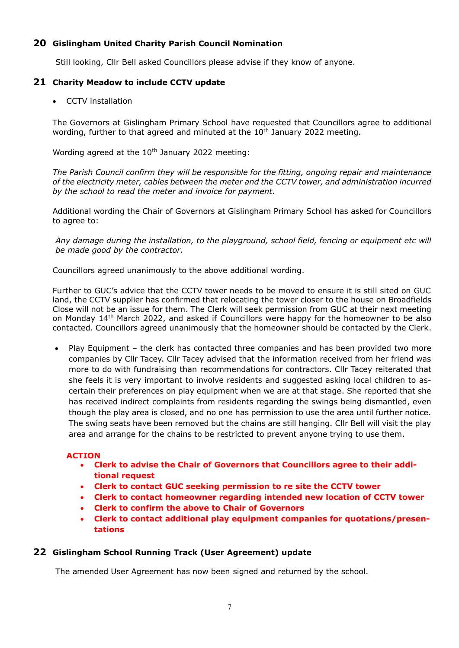## **20 Gislingham United Charity Parish Council Nomination**

Still looking, Cllr Bell asked Councillors please advise if they know of anyone.

## **21 Charity Meadow to include CCTV update**

• CCTV installation

The Governors at Gislingham Primary School have requested that Councillors agree to additional wording, further to that agreed and minuted at the  $10<sup>th</sup>$  January 2022 meeting.

Wording agreed at the  $10^{th}$  January 2022 meeting:

*The Parish Council confirm they will be responsible for the fitting, ongoing repair and maintenance of the electricity meter, cables between the meter and the CCTV tower, and administration incurred by the school to read the meter and invoice for payment.*

Additional wording the Chair of Governors at Gislingham Primary School has asked for Councillors to agree to:

*Any damage during the installation, to the playground, school field, fencing or equipment etc will be made good by the contractor.*

Councillors agreed unanimously to the above additional wording.

Further to GUC's advice that the CCTV tower needs to be moved to ensure it is still sited on GUC land, the CCTV supplier has confirmed that relocating the tower closer to the house on Broadfields Close will not be an issue for them. The Clerk will seek permission from GUC at their next meeting on Monday 14th March 2022, and asked if Councillors were happy for the homeowner to be also contacted. Councillors agreed unanimously that the homeowner should be contacted by the Clerk.

• Play Equipment – the clerk has contacted three companies and has been provided two more companies by Cllr Tacey. Cllr Tacey advised that the information received from her friend was more to do with fundraising than recommendations for contractors. Cllr Tacey reiterated that she feels it is very important to involve residents and suggested asking local children to ascertain their preferences on play equipment when we are at that stage. She reported that she has received indirect complaints from residents regarding the swings being dismantled, even though the play area is closed, and no one has permission to use the area until further notice. The swing seats have been removed but the chains are still hanging. Cllr Bell will visit the play area and arrange for the chains to be restricted to prevent anyone trying to use them.

#### **ACTION**

- **Clerk to advise the Chair of Governors that Councillors agree to their additional request**
- **Clerk to contact GUC seeking permission to re site the CCTV tower**
- **Clerk to contact homeowner regarding intended new location of CCTV tower**
- **Clerk to confirm the above to Chair of Governors**
- **Clerk to contact additional play equipment companies for quotations/presentations**

## **22 Gislingham School Running Track (User Agreement) update**

The amended User Agreement has now been signed and returned by the school.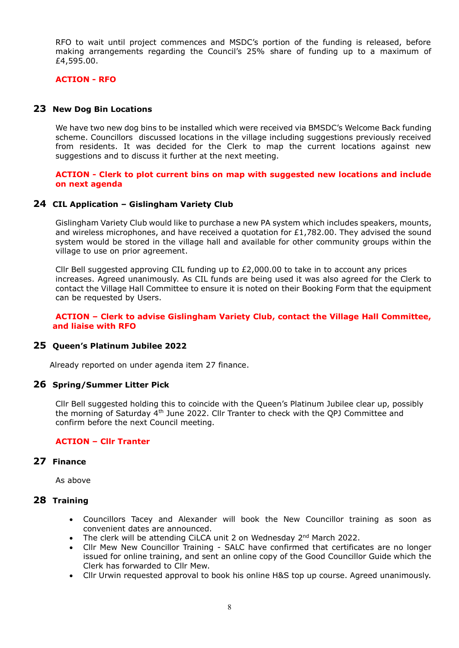RFO to wait until project commences and MSDC's portion of the funding is released, before making arrangements regarding the Council's 25% share of funding up to a maximum of £4,595.00.

#### **ACTION - RFO**

### **23 New Dog Bin Locations**

We have two new dog bins to be installed which were received via BMSDC's Welcome Back funding scheme. Councillors discussed locations in the village including suggestions previously received from residents. It was decided for the Clerk to map the current locations against new suggestions and to discuss it further at the next meeting.

#### **ACTION - Clerk to plot current bins on map with suggested new locations and include on next agenda**

### **24 CIL Application – Gislingham Variety Club**

Gislingham Variety Club would like to purchase a new PA system which includes speakers, mounts, and wireless microphones, and have received a quotation for £1,782.00. They advised the sound system would be stored in the village hall and available for other community groups within the village to use on prior agreement.

Cllr Bell suggested approving CIL funding up to  $E2,000.00$  to take in to account any prices increases. Agreed unanimously. As CIL funds are being used it was also agreed for the Clerk to contact the Village Hall Committee to ensure it is noted on their Booking Form that the equipment can be requested by Users.

#### **ACTION – Clerk to advise Gislingham Variety Club, contact the Village Hall Committee, and liaise with RFO**

#### **25 Queen's Platinum Jubilee 2022**

Already reported on under agenda item 27 finance.

#### **26 Spring/Summer Litter Pick**

Cllr Bell suggested holding this to coincide with the Queen's Platinum Jubilee clear up, possibly the morning of Saturday 4<sup>th</sup> June 2022. Cllr Tranter to check with the QPJ Committee and confirm before the next Council meeting.

#### **ACTION – Cllr Tranter**

## **27 Finance**

As above

#### **28 Training**

- Councillors Tacey and Alexander will book the New Councillor training as soon as convenient dates are announced.
- The clerk will be attending CiLCA unit 2 on Wednesday 2<sup>nd</sup> March 2022.
- Cllr Mew New Councillor Training SALC have confirmed that certificates are no longer issued for online training, and sent an online copy of the Good Councillor Guide which the Clerk has forwarded to Cllr Mew.
- Cllr Urwin requested approval to book his online H&S top up course. Agreed unanimously.